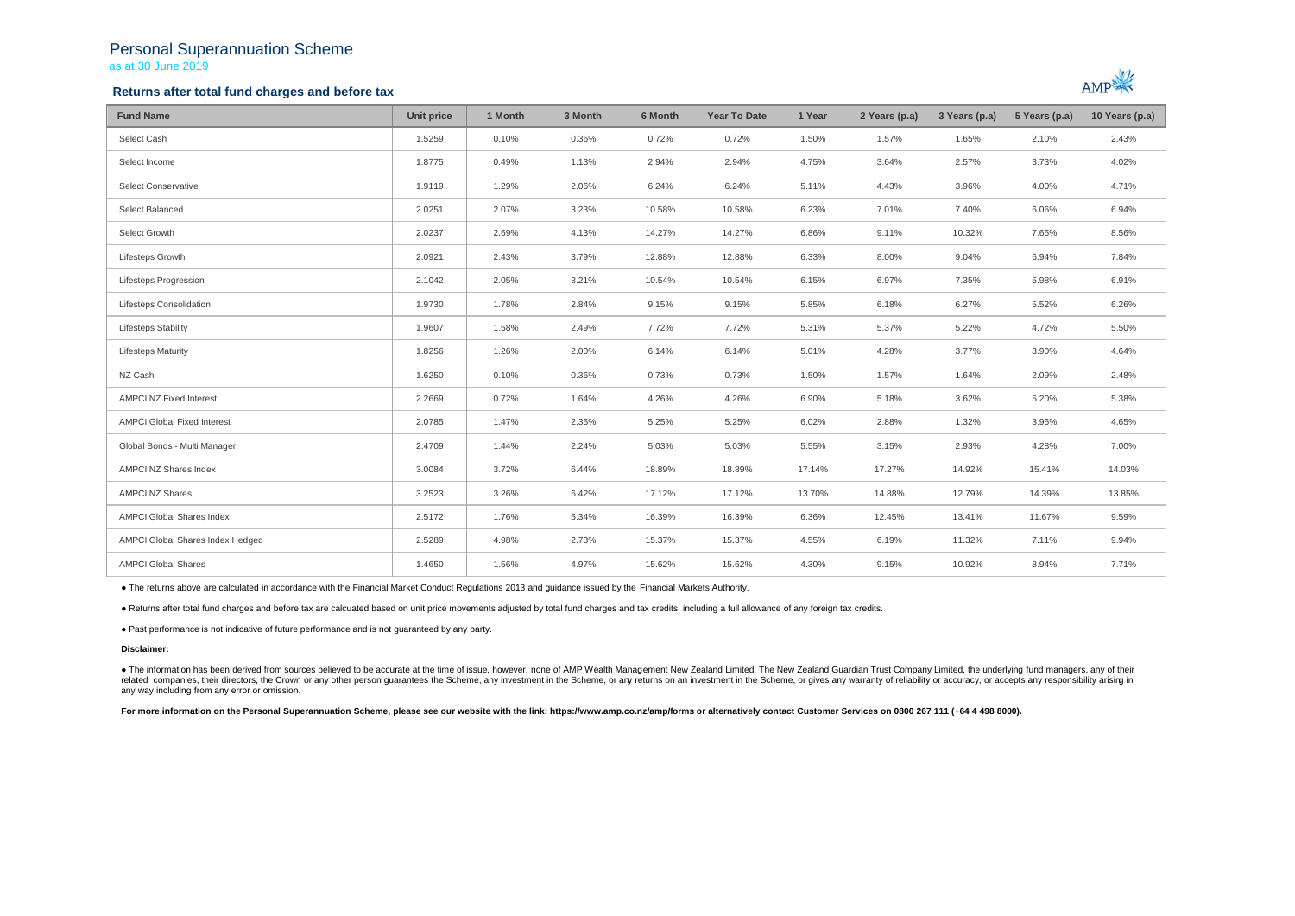## Personal Superannuation Scheme as at 30 June 2019

### **Returns after total fund charges and before tax**



| <b>Fund Name</b>                   | Unit price | 1 Month | 3 Month | 6 Month | <b>Year To Date</b> | 1 Year | 2 Years (p.a) | 3 Years (p.a) | 5 Years (p.a) | 10 Years (p.a) |
|------------------------------------|------------|---------|---------|---------|---------------------|--------|---------------|---------------|---------------|----------------|
| Select Cash                        | 1.5259     | 0.10%   | 0.36%   | 0.72%   | 0.72%               | 1.50%  | 1.57%         | 1.65%         | 2.10%         | 2.43%          |
| Select Income                      | 1.8775     | 0.49%   | 1.13%   | 2.94%   | 2.94%               | 4.75%  | 3.64%         | 2.57%         | 3.73%         | 4.02%          |
| Select Conservative                | 1.9119     | 1.29%   | 2.06%   | 6.24%   | 6.24%               | 5.11%  | 4.43%         | 3.96%         | 4.00%         | 4.71%          |
| Select Balanced                    | 2.0251     | 2.07%   | 3.23%   | 10.58%  | 10.58%              | 6.23%  | 7.01%         | 7.40%         | 6.06%         | 6.94%          |
| Select Growth                      | 2.0237     | 2.69%   | 4.13%   | 14.27%  | 14.27%              | 6.86%  | 9.11%         | 10.32%        | 7.65%         | 8.56%          |
| Lifesteps Growth                   | 2.0921     | 2.43%   | 3.79%   | 12.88%  | 12.88%              | 6.33%  | 8.00%         | 9.04%         | 6.94%         | 7.84%          |
| Lifesteps Progression              | 2.1042     | 2.05%   | 3.21%   | 10.54%  | 10.54%              | 6.15%  | 6.97%         | 7.35%         | 5.98%         | 6.91%          |
| Lifesteps Consolidation            | 1.9730     | 1.78%   | 2.84%   | 9.15%   | 9.15%               | 5.85%  | 6.18%         | 6.27%         | 5.52%         | 6.26%          |
| Lifesteps Stability                | 1.9607     | 1.58%   | 2.49%   | 7.72%   | 7.72%               | 5.31%  | 5.37%         | 5.22%         | 4.72%         | 5.50%          |
| <b>Lifesteps Maturity</b>          | 1.8256     | 1.26%   | 2.00%   | 6.14%   | 6.14%               | 5.01%  | 4.28%         | 3.77%         | 3.90%         | 4.64%          |
| NZ Cash                            | 1.6250     | 0.10%   | 0.36%   | 0.73%   | 0.73%               | 1.50%  | 1.57%         | 1.64%         | 2.09%         | 2.48%          |
| AMPCI NZ Fixed Interest            | 2.2669     | 0.72%   | 1.64%   | 4.26%   | 4.26%               | 6.90%  | 5.18%         | 3.62%         | 5.20%         | 5.38%          |
| <b>AMPCI Global Fixed Interest</b> | 2.0785     | 1.47%   | 2.35%   | 5.25%   | 5.25%               | 6.02%  | 2.88%         | 1.32%         | 3.95%         | 4.65%          |
| Global Bonds - Multi Manager       | 2.4709     | 1.44%   | 2.24%   | 5.03%   | 5.03%               | 5.55%  | 3.15%         | 2.93%         | 4.28%         | 7.00%          |
| AMPCI NZ Shares Index              | 3.0084     | 3.72%   | 6.44%   | 18.89%  | 18.89%              | 17.14% | 17.27%        | 14.92%        | 15.41%        | 14.03%         |
| AMPCI NZ Shares                    | 3.2523     | 3.26%   | 6.42%   | 17.12%  | 17.12%              | 13.70% | 14.88%        | 12.79%        | 14.39%        | 13.85%         |
| AMPCI Global Shares Index          | 2.5172     | 1.76%   | 5.34%   | 16.39%  | 16.39%              | 6.36%  | 12.45%        | 13.41%        | 11.67%        | 9.59%          |
| AMPCI Global Shares Index Hedged   | 2.5289     | 4.98%   | 2.73%   | 15.37%  | 15.37%              | 4.55%  | 6.19%         | 11.32%        | 7.11%         | 9.94%          |
| <b>AMPCI Global Shares</b>         | 1.4650     | 1.56%   | 4.97%   | 15.62%  | 15.62%              | 4.30%  | 9.15%         | 10.92%        | 8.94%         | 7.71%          |

● The returns above are calculated in accordance with the Financial Market Conduct Regulations 2013 and guidance issued by the Financial Markets Authority.

● Returns after total fund charges and before tax are calcuated based on unit price movements adjusted by total fund charges and tax credits, including a full allowance of any foreign tax credits.

● Past performance is not indicative of future performance and is not guaranteed by any party.

#### **Disclaimer:**

● The information has been derived from sources believed to be accurate at the time of issue, however, none of AMP Wealth Management New Zealand Limited, The New Zealand Guardian Trust Company Limited, the underlying fund any way including from any error or omission.

For more information on the Personal Superannuation Scheme, please see our website with the link: https://www.amp.co.nz/amp/forms or alternatively contact Customer Services on 0800 267 111 (+64 4 498 8000).